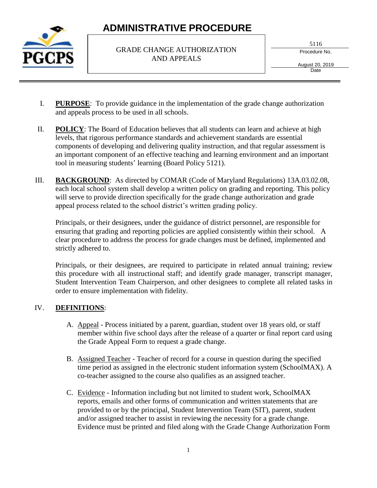

#### GRADE CHANGE AUTHORIZATION AND APPEALS

5116

Procedure No.

August 20, 2019 **Date** 

- I. **PURPOSE**: To provide guidance in the implementation of the grade change authorization and appeals process to be used in all schools.
- II. **POLICY**: The Board of Education believes that all students can learn and achieve at high levels, that rigorous performance standards and achievement standards are essential components of developing and delivering quality instruction, and that regular assessment is an important component of an effective teaching and learning environment and an important tool in measuring students' learning (Board Policy 5121).
- III. **BACKGROUND**: As directed by COMAR (Code of Maryland Regulations) 13A.03.02.08, each local school system shall develop a written policy on grading and reporting. This policy will serve to provide direction specifically for the grade change authorization and grade appeal process related to the school district's written grading policy.

Principals, or their designees, under the guidance of district personnel, are responsible for ensuring that grading and reporting policies are applied consistently within their school. A clear procedure to address the process for grade changes must be defined, implemented and strictly adhered to.

Principals, or their designees, are required to participate in related annual training; review this procedure with all instructional staff; and identify grade manager, transcript manager, Student Intervention Team Chairperson, and other designees to complete all related tasks in order to ensure implementation with fidelity.

### IV. **DEFINITIONS**:

- A. Appeal Process initiated by a parent, guardian, student over 18 years old, or staff member within five school days after the release of a quarter or final report card using the Grade Appeal Form to request a grade change.
- B. Assigned Teacher Teacher of record for a course in question during the specified time period as assigned in the electronic student information system (SchoolMAX). A co-teacher assigned to the course also qualifies as an assigned teacher.
- C. Evidence Information including but not limited to student work, SchoolMAX reports, emails and other forms of communication and written statements that are provided to or by the principal, Student Intervention Team (SIT), parent, student and/or assigned teacher to assist in reviewing the necessity for a grade change. Evidence must be printed and filed along with the Grade Change Authorization Form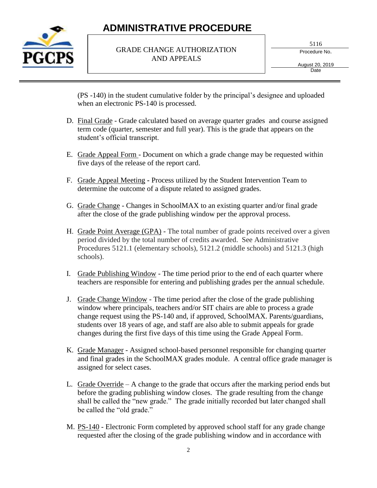

#### GRADE CHANGE AUTHORIZATION AND APPEALS

5116

Procedure No.

August 20, 2019 Date

(PS -140) in the student cumulative folder by the principal's designee and uploaded when an electronic PS-140 is processed.

- D. Final Grade Grade calculated based on average quarter grades and course assigned term code (quarter, semester and full year). This is the grade that appears on the student's official transcript.
- E. Grade Appeal Form Document on which a grade change may be requested within five days of the release of the report card.
- F. Grade Appeal Meeting **-** Process utilized by the Student Intervention Team to determine the outcome of a dispute related to assigned grades.
- G. Grade Change Changes in SchoolMAX to an existing quarter and/or final grade after the close of the grade publishing window per the approval process.
- H. Grade Point Average (GPA) The total number of grade points received over a given period divided by the total number of credits awarded. See Administrative Procedures 5121.1 (elementary schools), 5121.2 (middle schools) and 5121.3 (high schools).
- I. Grade Publishing Window The time period prior to the end of each quarter where teachers are responsible for entering and publishing grades per the annual schedule.
- J. Grade Change Window The time period after the close of the grade publishing window where principals, teachers and/or SIT chairs are able to process a grade change request using the PS-140 and, if approved, SchoolMAX. Parents/guardians, students over 18 years of age, and staff are also able to submit appeals for grade changes during the first five days of this time using the Grade Appeal Form.
- K. Grade Manager Assigned school-based personnel responsible for changing quarter and final grades in the SchoolMAX grades module. A central office grade manager is assigned for select cases.
- L. Grade Override A change to the grade that occurs after the marking period ends but before the grading publishing window closes. The grade resulting from the change shall be called the "new grade." The grade initially recorded but later changed shall be called the "old grade."
- M. PS-140 Electronic Form completed by approved school staff for any grade change requested after the closing of the grade publishing window and in accordance with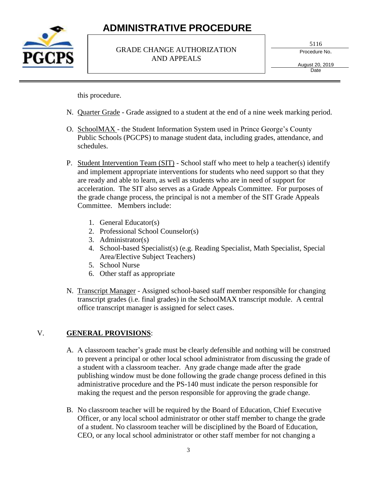

#### GRADE CHANGE AUTHORIZATION AND APPEALS

5116

Procedure No.

August 20, 2019 **Date** 

this procedure.

- N. Quarter Grade Grade assigned to a student at the end of a nine week marking period.
- O. SchoolMAX the Student Information System used in Prince George's County Public Schools (PGCPS) to manage student data, including grades, attendance, and schedules.
- P. Student Intervention Team (SIT) School staff who meet to help a teacher(s) identify and implement appropriate interventions for students who need support so that they are ready and able to learn, as well as students who are in need of support for acceleration. The SIT also serves as a Grade Appeals Committee. For purposes of the grade change process, the principal is not a member of the SIT Grade Appeals Committee. Members include:
	- 1. General Educator(s)
	- 2. Professional School Counselor(s)
	- 3. Administrator(s)
	- 4. School-based Specialist(s) (e.g. Reading Specialist, Math Specialist, Special Area/Elective Subject Teachers)
	- 5. School Nurse
	- 6. Other staff as appropriate
- N. Transcript Manager Assigned school-based staff member responsible for changing transcript grades (i.e. final grades) in the SchoolMAX transcript module. A central office transcript manager is assigned for select cases.

#### V. **GENERAL PROVISIONS**:

- A. A classroom teacher's grade must be clearly defensible and nothing will be construed to prevent a principal or other local school administrator from discussing the grade of a student with a classroom teacher. Any grade change made after the grade publishing window must be done following the grade change process defined in this administrative procedure and the PS-140 must indicate the person responsible for making the request and the person responsible for approving the grade change.
- B. No classroom teacher will be required by the Board of Education, Chief Executive Officer, or any local school administrator or other staff member to change the grade of a student. No classroom teacher will be disciplined by the Board of Education, CEO, or any local school administrator or other staff member for not changing a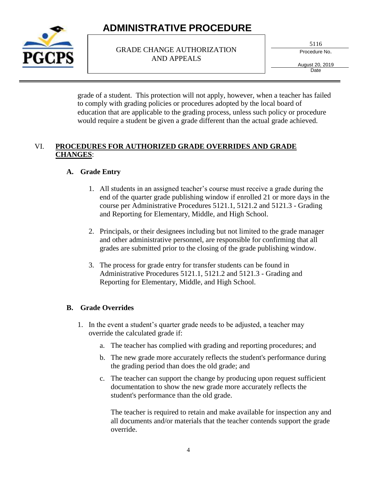

GRADE CHANGE AUTHORIZATION AND APPEALS

5116

Procedure No.

August 20, 2019 Date

grade of a student. This protection will not apply, however, when a teacher has failed to comply with grading policies or procedures adopted by the local board of education that are applicable to the grading process, unless such policy or procedure would require a student be given a grade different than the actual grade achieved.

#### VI. **PROCEDURES FOR AUTHORIZED GRADE OVERRIDES AND GRADE CHANGES**:

### **A. Grade Entry**

- 1. All students in an assigned teacher's course must receive a grade during the end of the quarter grade publishing window if enrolled 21 or more days in the course per Administrative Procedures 5121.1, 5121.2 and 5121.3 - Grading and Reporting for Elementary, Middle, and High School.
- 2. Principals, or their designees including but not limited to the grade manager and other administrative personnel, are responsible for confirming that all grades are submitted prior to the closing of the grade publishing window.
- 3. The process for grade entry for transfer students can be found in Administrative Procedures 5121.1, 5121.2 and 5121.3 - Grading and Reporting for Elementary, Middle, and High School.

### **B. Grade Overrides**

- 1. In the event a student's quarter grade needs to be adjusted, a teacher may override the calculated grade if:
	- a. The teacher has complied with grading and reporting procedures; and
	- b. The new grade more accurately reflects the student's performance during the grading period than does the old grade; and
	- c. The teacher can support the change by producing upon request sufficient documentation to show the new grade more accurately reflects the student's performance than the old grade.

The teacher is required to retain and make available for inspection any and all documents and/or materials that the teacher contends support the grade override.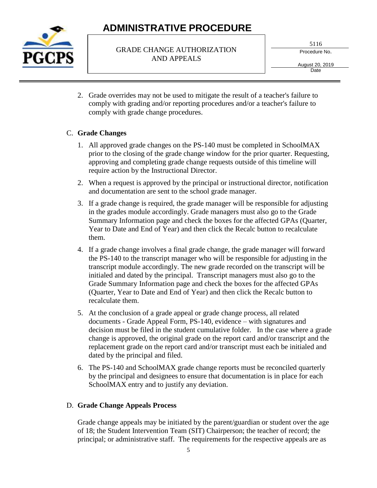

#### GRADE CHANGE AUTHORIZATION AND APPEALS

5116

Procedure No.

August 20, 2019 **Date** 

2. Grade overrides may not be used to mitigate the result of a teacher's failure to comply with grading and/or reporting procedures and/or a teacher's failure to comply with grade change procedures.

### C. **Grade Changes**

- 1. All approved grade changes on the PS-140 must be completed in SchoolMAX prior to the closing of the grade change window for the prior quarter. Requesting, approving and completing grade change requests outside of this timeline will require action by the Instructional Director.
- 2. When a request is approved by the principal or instructional director, notification and documentation are sent to the school grade manager.
- 3. If a grade change is required, the grade manager will be responsible for adjusting in the grades module accordingly. Grade managers must also go to the Grade Summary Information page and check the boxes for the affected GPAs (Quarter, Year to Date and End of Year) and then click the Recalc button to recalculate them.
- 4. If a grade change involves a final grade change, the grade manager will forward the PS-140 to the transcript manager who will be responsible for adjusting in the transcript module accordingly. The new grade recorded on the transcript will be initialed and dated by the principal. Transcript managers must also go to the Grade Summary Information page and check the boxes for the affected GPAs (Quarter, Year to Date and End of Year) and then click the Recalc button to recalculate them.
- 5. At the conclusion of a grade appeal or grade change process, all related documents - Grade Appeal Form, PS-140, evidence – with signatures and decision must be filed in the student cumulative folder. In the case where a grade change is approved, the original grade on the report card and/or transcript and the replacement grade on the report card and/or transcript must each be initialed and dated by the principal and filed.
- 6. The PS-140 and SchoolMAX grade change reports must be reconciled quarterly by the principal and designees to ensure that documentation is in place for each SchoolMAX entry and to justify any deviation.

#### D. **Grade Change Appeals Process**

Grade change appeals may be initiated by the parent/guardian or student over the age of 18; the Student Intervention Team (SIT) Chairperson; the teacher of record; the principal; or administrative staff. The requirements for the respective appeals are as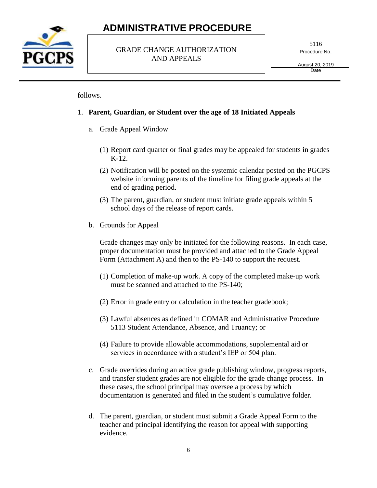

#### GRADE CHANGE AUTHORIZATION AND APPEALS

5116

Procedure No.

August 20, 2019 **Date** 

follows.

#### 1. **Parent, Guardian, or Student over the age of 18 Initiated Appeals**

- a. Grade Appeal Window
	- (1) Report card quarter or final grades may be appealed for students in grades K-12.
	- (2) Notification will be posted on the systemic calendar posted on the PGCPS website informing parents of the timeline for filing grade appeals at the end of grading period.
	- (3) The parent, guardian, or student must initiate grade appeals within 5 school days of the release of report cards.
- b. Grounds for Appeal

Grade changes may only be initiated for the following reasons. In each case, proper documentation must be provided and attached to the Grade Appeal Form (Attachment A) and then to the PS-140 to support the request.

- (1) Completion of make-up work. A copy of the completed make-up work must be scanned and attached to the PS-140;
- (2) Error in grade entry or calculation in the teacher gradebook;
- (3) Lawful absences as defined in COMAR and Administrative Procedure 5113 Student Attendance, Absence, and Truancy; or
- (4) Failure to provide allowable accommodations, supplemental aid or services in accordance with a student's IEP or 504 plan.
- c. Grade overrides during an active grade publishing window, progress reports, and transfer student grades are not eligible for the grade change process. In these cases, the school principal may oversee a process by which documentation is generated and filed in the student's cumulative folder.
- d. The parent, guardian, or student must submit a Grade Appeal Form to the teacher and principal identifying the reason for appeal with supporting evidence.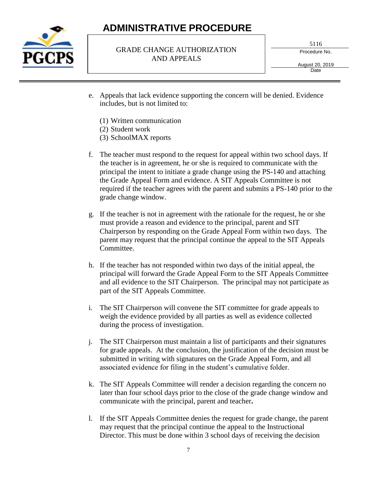

#### GRADE CHANGE AUTHORIZATION AND APPEALS

5116

Procedure No.

August 20, 2019 **Date** 

- e. Appeals that lack evidence supporting the concern will be denied. Evidence includes, but is not limited to:
	- (1) Written communication
	- (2) Student work
	- (3) SchoolMAX reports
- f. The teacher must respond to the request for appeal within two school days. If the teacher is in agreement, he or she is required to communicate with the principal the intent to initiate a grade change using the PS-140 and attaching the Grade Appeal Form and evidence. A SIT Appeals Committee is not required if the teacher agrees with the parent and submits a PS-140 prior to the grade change window.
- g. If the teacher is not in agreement with the rationale for the request, he or she must provide a reason and evidence to the principal, parent and SIT Chairperson by responding on the Grade Appeal Form within two days. The parent may request that the principal continue the appeal to the SIT Appeals Committee.
- h. If the teacher has not responded within two days of the initial appeal, the principal will forward the Grade Appeal Form to the SIT Appeals Committee and all evidence to the SIT Chairperson. The principal may not participate as part of the SIT Appeals Committee.
- i. The SIT Chairperson will convene the SIT committee for grade appeals to weigh the evidence provided by all parties as well as evidence collected during the process of investigation.
- j. The SIT Chairperson must maintain a list of participants and their signatures for grade appeals. At the conclusion, the justification of the decision must be submitted in writing with signatures on the Grade Appeal Form, and all associated evidence for filing in the student's cumulative folder.
- k. The SIT Appeals Committee will render a decision regarding the concern no later than four school days prior to the close of the grade change window and communicate with the principal, parent and teacher**.**
- l. If the SIT Appeals Committee denies the request for grade change, the parent may request that the principal continue the appeal to the Instructional Director. This must be done within 3 school days of receiving the decision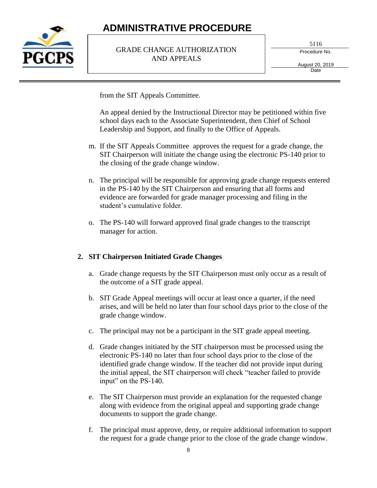

#### GRADE CHANGE AUTHORIZATION AND APPEALS

5116

Procedure No.

August 20, 2019 **Date** 

from the SIT Appeals Committee.

An appeal denied by the Instructional Director may be petitioned within five school days each to the Associate Superintendent, then Chief of School Leadership and Support, and finally to the Office of Appeals.

- m. If the SIT Appeals Committee approves the request for a grade change, the SIT Chairperson will initiate the change using the electronic PS-140 prior to the closing of the grade change window.
- n. The principal will be responsible for approving grade change requests entered in the PS-140 by the SIT Chairperson and ensuring that all forms and evidence are forwarded for grade manager processing and filing in the student's cumulative folder.
- o. The PS-140 will forward approved final grade changes to the transcript manager for action.

#### **2. SIT Chairperson Initiated Grade Changes**

- a. Grade change requests by the SIT Chairperson must only occur as a result of the outcome of a SIT grade appeal.
- b. SIT Grade Appeal meetings will occur at least once a quarter, if the need arises, and will be held no later than four school days prior to the close of the grade change window.
- c. The principal may not be a participant in the SIT grade appeal meeting.
- d. Grade changes initiated by the SIT chairperson must be processed using the electronic PS-140 no later than four school days prior to the close of the identified grade change window. If the teacher did not provide input during the initial appeal, the SIT chairperson will check "teacher failed to provide input" on the PS-140.
- e. The SIT Chairperson must provide an explanation for the requested change along with evidence from the original appeal and supporting grade change documents to support the grade change.
- f. The principal must approve, deny, or require additional information to support the request for a grade change prior to the close of the grade change window.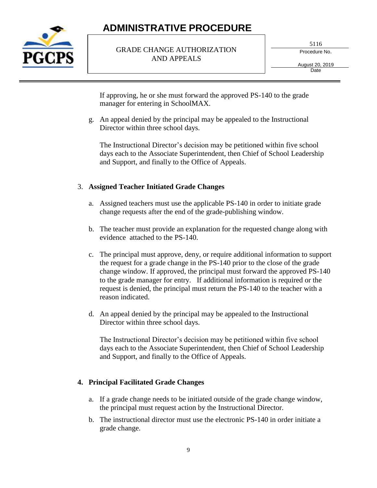

#### GRADE CHANGE AUTHORIZATION AND APPEALS

5116

Procedure No.

August 20, 2019 **Date** 

If approving, he or she must forward the approved PS-140 to the grade manager for entering in SchoolMAX.

g. An appeal denied by the principal may be appealed to the Instructional Director within three school days.

The Instructional Director's decision may be petitioned within five school days each to the Associate Superintendent, then Chief of School Leadership and Support, and finally to the Office of Appeals.

### 3. **Assigned Teacher Initiated Grade Changes**

- a. Assigned teachers must use the applicable PS-140 in order to initiate grade change requests after the end of the grade-publishing window.
- b. The teacher must provide an explanation for the requested change along with evidence attached to the PS-140.
- c. The principal must approve, deny, or require additional information to support the request for a grade change in the PS-140 prior to the close of the grade change window. If approved, the principal must forward the approved PS-140 to the grade manager for entry. If additional information is required or the request is denied, the principal must return the PS-140 to the teacher with a reason indicated.
- d. An appeal denied by the principal may be appealed to the Instructional Director within three school days.

The Instructional Director's decision may be petitioned within five school days each to the Associate Superintendent, then Chief of School Leadership and Support, and finally to the Office of Appeals.

### **4. Principal Facilitated Grade Changes**

- a. If a grade change needs to be initiated outside of the grade change window, the principal must request action by the Instructional Director.
- b. The instructional director must use the electronic PS-140 in order initiate a grade change.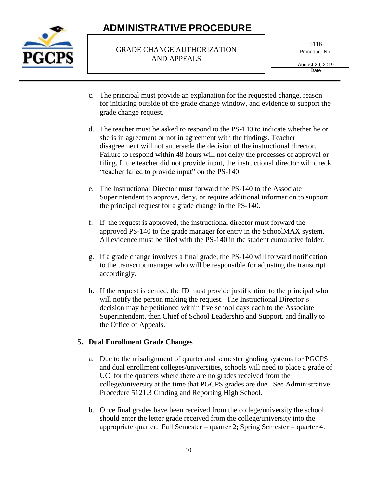

#### GRADE CHANGE AUTHORIZATION AND APPEALS

5116

Procedure No.

August 20, 2019 Date

- c. The principal must provide an explanation for the requested change, reason for initiating outside of the grade change window, and evidence to support the grade change request.
- d. The teacher must be asked to respond to the PS-140 to indicate whether he or she is in agreement or not in agreement with the findings. Teacher disagreement will not supersede the decision of the instructional director. Failure to respond within 48 hours will not delay the processes of approval or filing. If the teacher did not provide input, the instructional director will check "teacher failed to provide input" on the PS-140.
- e. The Instructional Director must forward the PS-140 to the Associate Superintendent to approve, deny, or require additional information to support the principal request for a grade change in the PS-140.
- f. If the request is approved, the instructional director must forward the approved PS-140 to the grade manager for entry in the SchoolMAX system. All evidence must be filed with the PS-140 in the student cumulative folder.
- g. If a grade change involves a final grade, the PS-140 will forward notification to the transcript manager who will be responsible for adjusting the transcript accordingly.
- h. If the request is denied, the ID must provide justification to the principal who will notify the person making the request. The Instructional Director's decision may be petitioned within five school days each to the Associate Superintendent, then Chief of School Leadership and Support, and finally to the Office of Appeals.

#### **5. Dual Enrollment Grade Changes**

- a. Due to the misalignment of quarter and semester grading systems for PGCPS and dual enrollment colleges/universities, schools will need to place a grade of UC for the quarters where there are no grades received from the college/university at the time that PGCPS grades are due. See Administrative Procedure 5121.3 Grading and Reporting High School.
- b. Once final grades have been received from the college/university the school should enter the letter grade received from the college/university into the appropriate quarter. Fall Semester = quarter 2; Spring Semester = quarter 4.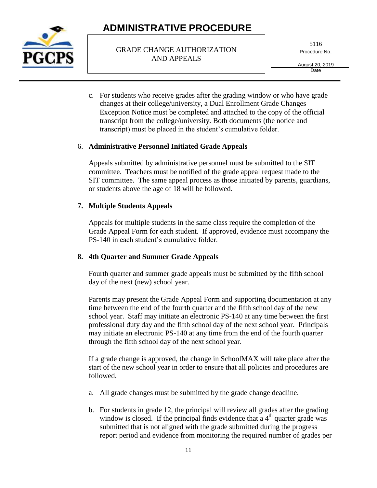

#### GRADE CHANGE AUTHORIZATION AND APPEALS

5116

Procedure No.

August 20, 2019 **Date** 

c. For students who receive grades after the grading window or who have grade changes at their college/university, a Dual Enrollment Grade Changes Exception Notice must be completed and attached to the copy of the official transcript from the college/university. Both documents (the notice and transcript) must be placed in the student's cumulative folder.

#### 6. **Administrative Personnel Initiated Grade Appeals**

Appeals submitted by administrative personnel must be submitted to the SIT committee. Teachers must be notified of the grade appeal request made to the SIT committee. The same appeal process as those initiated by parents, guardians, or students above the age of 18 will be followed.

### **7. Multiple Students Appeals**

Appeals for multiple students in the same class require the completion of the Grade Appeal Form for each student. If approved, evidence must accompany the PS-140 in each student's cumulative folder.

### **8. 4th Quarter and Summer Grade Appeals**

Fourth quarter and summer grade appeals must be submitted by the fifth school day of the next (new) school year.

Parents may present the Grade Appeal Form and supporting documentation at any time between the end of the fourth quarter and the fifth school day of the new school year. Staff may initiate an electronic PS-140 at any time between the first professional duty day and the fifth school day of the next school year. Principals may initiate an electronic PS-140 at any time from the end of the fourth quarter through the fifth school day of the next school year.

If a grade change is approved, the change in SchoolMAX will take place after the start of the new school year in order to ensure that all policies and procedures are followed.

- a. All grade changes must be submitted by the grade change deadline.
- b. For students in grade 12, the principal will review all grades after the grading window is closed. If the principal finds evidence that a  $4<sup>th</sup>$  quarter grade was submitted that is not aligned with the grade submitted during the progress report period and evidence from monitoring the required number of grades per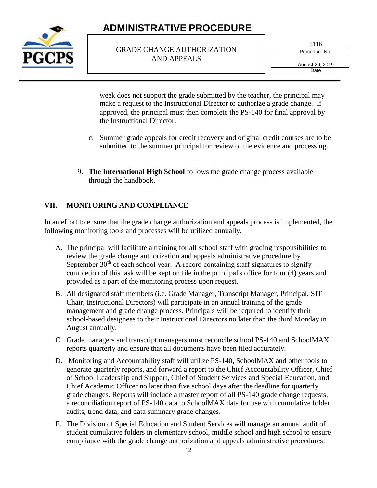

#### GRADE CHANGE AUTHORIZATION AND APPEALS

5116

Procedure No.

August 20, 2019 **Date** 

week does not support the grade submitted by the teacher, the principal may make a request to the Instructional Director to authorize a grade change. If approved, the principal must then complete the PS-140 for final approval by the Instructional Director.

- c. Summer grade appeals for credit recovery and original credit courses are to be submitted to the summer principal for review of the evidence and processing.
- 9. **The International High School** follows the grade change process available through the handbook.

### **VII. MONITORING AND COMPLIANCE**

In an effort to ensure that the grade change authorization and appeals process is implemented, the following monitoring tools and processes will be utilized annually.

- A. The principal will facilitate a training for all school staff with grading responsibilities to review the grade change authorization and appeals administrative procedure by September  $30<sup>th</sup>$  of each school year. A record containing staff signatures to signify completion of this task will be kept on file in the principal's office for four (4) years and provided as a part of the monitoring process upon request.
- B. All designated staff members (i.e. Grade Manager, Transcript Manager, Principal, SIT Chair, Instructional Directors) will participate in an annual training of the grade management and grade change process. Principals will be required to identify their school-based designees to their Instructional Directors no later than the third Monday in August annually.
- C. Grade managers and transcript managers must reconcile school PS-140 and SchoolMAX reports quarterly and ensure that all documents have been filed accurately.
- D. Monitoring and Accountability staff will utilize PS-140, SchoolMAX and other tools to generate quarterly reports, and forward a report to the Chief Accountability Officer, Chief of School Leadership and Support, Chief of Student Services and Special Education, and Chief Academic Officer no later than five school days after the deadline for quarterly grade changes. Reports will include a master report of all PS-140 grade change requests, a reconciliation report of PS-140 data to SchoolMAX data for use with cumulative folder audits, trend data, and data summary grade changes.
- E. The Division of Special Education and Student Services will manage an annual audit of student cumulative folders in elementary school, middle school and high school to ensure compliance with the grade change authorization and appeals administrative procedures.